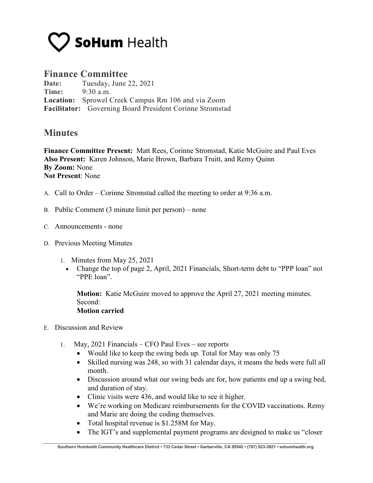

## **Finance Committee**

**Date:** Tuesday, June 22, 2021 **Time:** 9:30 a.m. **Location:** Sprowel Creek Campus Rm 106 and via Zoom **Facilitator:** Governing Board President Corinne Stromstad

## **Minutes**

**Finance Committee Present:** Matt Rees, Corinne Stromstad, Katie McGuire and Paul Eves **Also Present:** Karen Johnson, Marie Brown, Barbara Truitt, and Remy Quinn **By Zoom:** None **Not Present**: None

- A. Call to Order Corinne Stromstad called the meeting to order at 9:36 a.m.
- B. Public Comment (3 minute limit per person) none
- C. Announcements none
- D. Previous Meeting Minutes
	- 1. Minutes from May 25, 2021
		- Change the top of page 2, April, 2021 Financials, Short-term debt to "PPP loan" not "PPE loan".

**Motion:** Katie McGuire moved to approve the April 27, 2021 meeting minutes. Second:

## **Motion carried**

- E. Discussion and Review
	- 1. May, 2021 Financials CFO Paul Eves see reports
		- Would like to keep the swing beds up. Total for May was only 75
		- Skilled nursing was 248, so with 31 calendar days, it means the beds were full all month.
		- Discussion around what our swing beds are for, how patients end up a swing bed, and duration of stay.
		- Clinic visits were 436, and would like to see it higher.
		- We're working on Medicare reimbursements for the COVID vaccinations. Remy and Marie are doing the coding themselves.
		- Total hospital revenue is \$1.258M for May.
		- The IGT's and supplemental payment programs are designed to make us "closer"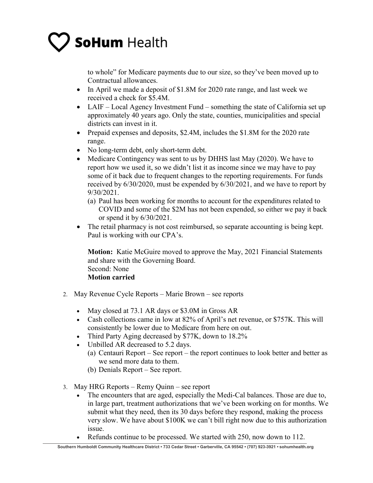to whole" for Medicare payments due to our size, so they've been moved up to Contractual allowances.

- In April we made a deposit of \$1.8M for 2020 rate range, and last week we received a check for \$5.4M.
- LAIF Local Agency Investment Fund something the state of California set up approximately 40 years ago. Only the state, counties, municipalities and special districts can invest in it.
- Prepaid expenses and deposits, \$2.4M, includes the \$1.8M for the 2020 rate range.
- No long-term debt, only short-term debt.
- Medicare Contingency was sent to us by DHHS last May (2020). We have to report how we used it, so we didn't list it as income since we may have to pay some of it back due to frequent changes to the reporting requirements. For funds received by 6/30/2020, must be expended by 6/30/2021, and we have to report by 9/30/2021.
	- (a) Paul has been working for months to account for the expenditures related to COVID and some of the \$2M has not been expended, so either we pay it back or spend it by 6/30/2021.
- The retail pharmacy is not cost reimbursed, so separate accounting is being kept. Paul is working with our CPA's.

**Motion:** Katie McGuire moved to approve the May, 2021 Financial Statements and share with the Governing Board. Second: None **Motion carried**

- 2. May Revenue Cycle Reports Marie Brown see reports
	- May closed at 73.1 AR days or \$3.0M in Gross AR
	- Cash collections came in low at 82% of April's net revenue, or \$757K. This will consistently be lower due to Medicare from here on out.
	- Third Party Aging decreased by \$77K, down to 18.2%
	- Unbilled AR decreased to 5.2 days.
		- (a) Centauri Report See report the report continues to look better and better as we send more data to them.
		- (b) Denials Report See report.
- 3. May HRG Reports Remy Quinn see report
	- The encounters that are aged, especially the Medi-Cal balances. Those are due to, in large part, treatment authorizations that we've been working on for months. We submit what they need, then its 30 days before they respond, making the process very slow. We have about \$100K we can't bill right now due to this authorization issue.
	- Refunds continue to be processed. We started with 250, now down to 112.